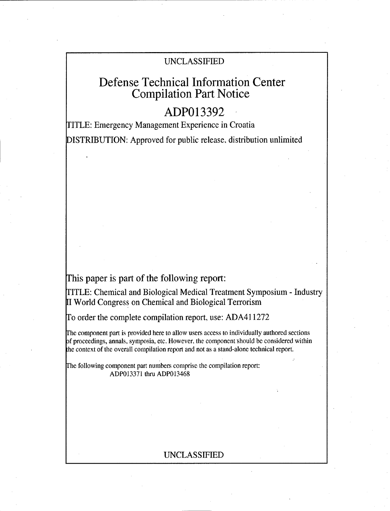# UNCLASSIFIED

# Defense Technical Information Center Compilation Part Notice

# **ADP013392**

TITLE: Emergency Management Experience in Croatia

DISTRIBUTION: Approved for public release, distribution unlimited

This paper is part of the following report:

TITLE: Chemical and Biological Medical Treatment Symposium - Industry II World Congress on Chemical and Biological Terrorism

To order the complete compilation report, use: ADA411272

the component part is provided here to allow users access to individually authored sections f proceedings, annals, symposia, etc. However, the component should be considered within [he context of the overall compilation report and not as a stand-alone technical report.

The following component part numbers comprise the compilation report: ADP013371 thru ADP013468

## UNCLASSIFIED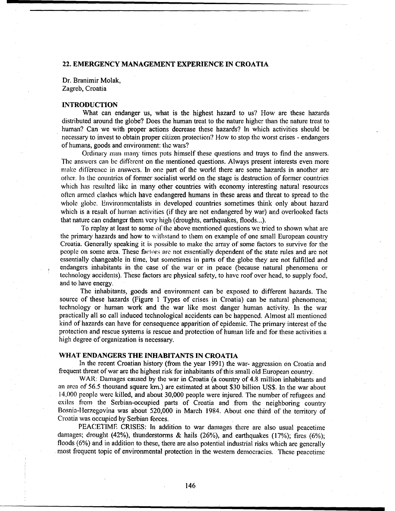### 22. EMERGENCY **MANAGEMENT EXPERIENCE IN** CROATIA

Dr. Branimir Molak, Zagreb, Croatia

#### **INTRODUCTION**

What can endanger us, what is the highest hazard to us? How are these hazards distributed around the globe? Does the human treat to the nature higher than the nature treat to human? Can we with proper actions decrease these hazards? In which activities should be necessary to invest to obtain proper citizen protection? How to stop the worst crises - endangers of humans, goods and environment: the wars?

Ordinary man many times puts himself these questions and trays to find the answers. The answers can be different on the mentioned questions. Always present interests even more make difference in answers. In one part of the world there are some hazards in another are other. In the countries of former socialist world on the stage is destruction of former countries which has resulted like in many other countries with economy interesting natural resources often armed clashes which have endangered humans in these areas and threat to spread to the whole globe. Environmentalists in developed countries sometimes think only about hazard which is a result of human activities (if they are not endangered by war) and overlooked facts that nature can endanger them very high (droughts, earthquakes, floods...).

To replay at least to some of the above mentioned questions we tried to shown what are the primary hazards and how to withstand to them on example of one small European country Croatia. Generally speaking it is possible to make the array of some factors to survive for the people on some area. These factors are not essentially dependent of the state rules and are not essentially changeable in time, but sometimes in parts of the globe they are not fulfilled and endangers inhabitants in the case of the war or in peace (because natural phenomena or technology accidents). These factors are physical safety, to have roof over head, to supply food, and to have energy.

The inhabitants, goods and environment can be exposed to different hazards. The source of these hazards (Figure 1 Types of crises in Croatia) can be natural phenomena; technology or human work and the war like most danger human activity. In the war practically all so call induced technological accidents can be happened. Almost all mentioned kind of hazards can have for consequence apparition of epidemic. The primary interest of the protection and rescue systems is rescue and protection of human life and for these activities a high degree of organization is necessary.

#### WHAT **ENDANGERS** THE **INHABITANTS IN** CROATIA

In the recent Croatian history (from the year 1991) the war- aggression on Croatia and frequent threat of war are the highest risk for inhabitants of this small old European country.

WAR: Damages caused by the war in Croatia (a country of 4.8 million inhabitants and an area of 56.5 thousand square km.) are estimated at about \$30 billion US\$. **In** the war about 14,000 people were killed, and about 30,000 people were injured. The number of refugees and exiles from the Serbian-occupied parts of Croatia and from the neighboring country Bosnia-Herzegovina was about 520,000 in March 1984. About one third of the territory of Croatia was occupied by Serbian forces.

PEACETIME CRISES: In addition to war damages there are also usual peacetime damages; drought (42%), thunderstorms **&** hails (26%), and earthquakes (17%); fires (6%); floods (6%) and in addition to these, there are also potential industrial risks which are generally most firequent topic of environmental protection in the western democracies. These peacetime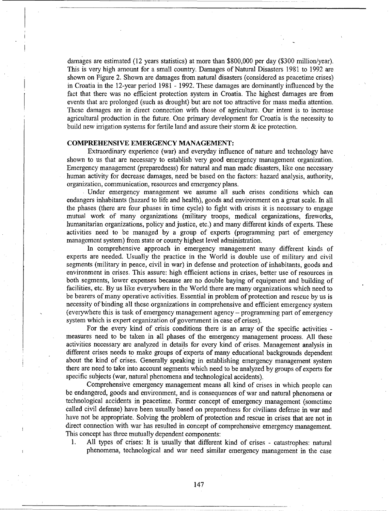damages are estimated (12 years statistics) at more than \$800,000 per day (\$300 million/year). This is very high amount for a small country. Damages of Natural Disasters 1981 to 1992 are shown on Figure 2. Shown are damages from natural disasters (considered as peacetime crises) in Croatia in the 12-year period 1981 - 1992. These damages are dominantly influenced by the fact that there was no efficient protection system in Croatia. The highest damages are from events that are prolonged (such as drought) but are not too attractive for mass media attention. These damages are in direct connection with those of agriculture. Our intent is to increase agricultural production in the future. One primary development for Croatia is the necessity to build new irrigation systems for fertile land and assure their storm  $\&$  ice protection.

### **COMPREHENSIVE** EMERGENCY **MANAGEMENT:**

Extraordinary experience (war) and everyday influence of nature and technology have shown to us that are necessary to establish very good emergency management organization. Emergency management (preparedness) for natural and man made disasters, like one necessary human activity for decrease damages, need be based on the factors: hazard analysis, authority, organization, communication, resources and emergency plans.

**.** Under emergency management we assume all such crises conditions which can endangers inhabitants (hazard to life and health), goods and environment on a great scale. In all the phases (there are four phases in time cycle) to fight with crises it is necessary to engage mutual work of many organizations (military troops, medical organizations, fireworks, humanitarian organizations, policy and justice, etc.) and many different kinds of experts. These activities need to be managed by a group of experts (programming part of emergency management system) from state or county highest level administration.

In comprehensive approach in emergency management many different kinds of experts are needed. Usually the practice in the World is double use of military and civil segments (military in peace, civil in war) in defense and protection of inhabitants, goods and environment in crises. This assure: high efficient actions in crises, better use of resources in both segments, lower expenses because are no double baying of equipment and building of facilities, etc. By us like everywhere in the World there are many organizations which need to be bearers of many operative activities. Essential in problem of protection and rescue by us is necessity of binding all these organizations in comprehensive and efficient emergency system (everywhere this is task of emergency management agency - programming part of emergency system which is expert organization of government in case of crises).

For the every kind of crisis conditions there is an array of the specific activities measures need to be taken in all phases of the emergency management process. All these activities necessary are analyzed in details for every kind of crises. Management analysis in different crises needs to make groups of experts of many educational backgrounds dependent about the kind of crises. Generally speaking in establishing emergency management system there are need to take into account segments which need to be analyzed by groups of experts for specific subjects (war, natural phenomena and technological accidents).

Comprehensive emergency management means all kind of crises in which people can be endangered, goods and environment, and is consequences of war and natural phenomena or technological accidents in peacetime. Former concept of emergency management (sometime called civil defense) have been usually based on preparedness for civilians defense in war and have not be appropriate. Solving the problem of protection and rescue in crises that are not in direct connection with war has resulted in concept of comprehensive emergency management. This concept has three mutually dependent components:

1. All types of crises: It is usually that different kind of crises - catastrophes: natural phenomena, technological and war need similar emergency management in the case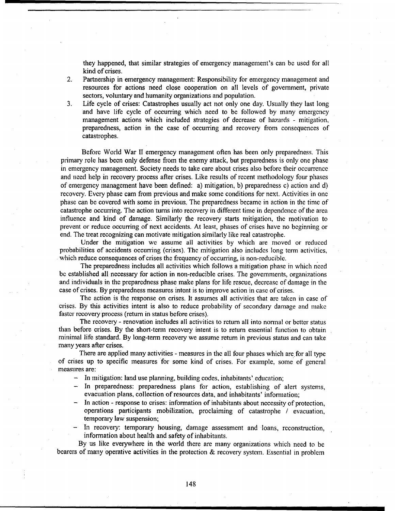they happened, that similar strategies of emergency management's can be used for all kind of crises.

- 2. Partnership in emergency management: Responsibility for emergency management and resources for actions need close cooperation on all levels of government, private sectors, voluntary and humanity organizations and population.
- 3. Life cycle of crises: Catastrophes usually act not only one day. Usually they last long and have life cycle of occurring which need to be followed by many emergency management actions which included strategies of decrease of hazards - mitigation, preparedness, action in the case of occurring and recovery from consequences of catastrophes.

Before World War II emergency management often has been only preparedness. This primary role has been only defense from the enemy attack, but preparedness is only one phase in emergency management. Society needs to take care about crises also before their occurrence and need help in recovery process after crises. Like results of recent methodology four phases of emergency management have been defined: a) mitigation, b) preparedness c) action and d) recovery. Every phase cam from previous and make some conditions for next. Activities in one phase can be covered with some in previous. The preparedness became in action in the time of catastrophe occurring. The action turns into recovery in different time in dependence of the area influence and kind of damage. Similarly the recovery starts mitigation, the motivation to prevent or reduce occurring of next accidents. At least, phases of crises have no beginning or end. The treat recognizing can motivate mitigation similarly like real catastrophe.

Under the mitigation we assume all activities by which are moved or reduced probabilities of accidents occurring (crises). The mitigation also includes long term activities, which reduce consequences of crises the frequency of occurring, is non-reducible.

The preparedness includes all activities which follows a mitigation phase in which need be established all necessary for action in non-reducible crises. The governments, organizations and individuals in the preparedness phase make plans for life rescue, decrease of damage in the case of crises. By preparedness measures intent is to improve action in case of crises.

The action is the response on crises. It assumes all activities that are taken in case of crises. By this activities intent is also to reduce probability of secondary damage and make faster recovery process (return in status before crises).

The recovery - renovation includes all activities to return all into normal or better status than before crises. By the short-term recovery intent is to return essential function to obtain minimal life standard. By long-term recovery we assume return in previous status and can take many years after crises.

There are applied many activities - measures in the all four phases which are for all type of crises up to specific measures for some kind of crises. For example, some of general measures are:

- In mitigation: land use planning, building codes, inhabitants' education;
- In preparedness: preparedness plans for action, establishing of alert systems, evacuation plans, collection of resources data, and inhabitants' information;
- In action response to crises: information of inhabitants about necessity of protection, operations participants mobilization, proclaiming of catastrophe / evacuation, temporary law suspension;
- In recovery: temporary housing, damage assessment and loans, reconstruction, information about health and safety of inhabitants.

By us like everywhere in the world there are many organizations which need to be bearers of many operative activities in the protection & recovery system. Essential in problem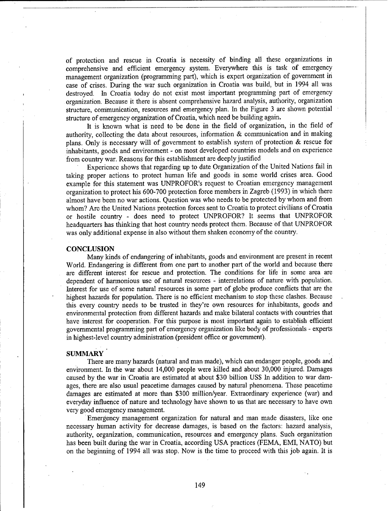of protection and rescue in Croatia is necessity of binding all these organizations in comprehensive and efficient emergency system. Everywhere this is task of emergency management organization (programming part), which is expert organization of government in case of crises. During the war such organization in Croatia was build, but in 1994 all was destroyed. In Croatia today do not exist most important programming part of emergency organization. Because it there is absent comprehensive hazard analysis, authority, organization structure, communication, resources and emergency plan. In the Figure 3 are shown potential structure of emergency organization of Croatia, which need be building again.

It is known what is need to be done in the field of organization, in the field of authority, collecting the data about resources, information & communication and in making plans. Only is necessary will of government to establish system of protection & rescue for inhabitants, goods and environment - on most developed countries models and on experience

Experience shows that regarding up to date Organization of the United Nations fail in taking proper actions to protect human life and goods in some world crises area. Good example for this statement was UNPROFOR's request to Croatian emergency management organization to protect his 600-700 protection force members in Zagreb (1993) in which there almost have been no war actions. Question was who needs to be protected by whom and from whom? Arc the United Nations protection forces sent to Croatia to protect civilians of Croatia or hostile country - does need to protect UNPROFOR? It seems that UNPROFOR headquarters has thinking that host country needs protect them. Because of that UNPROFOR was only additional expense in also without them shaken economy of the country.

#### **CONCLUSION**

Many kinds of endangering of inhabitants, goods and environment are present in recent World. Endangering is different from one part to another part of the world and because there are different interest for rescue and protection. The conditions for life in some area are dependent of harmonious use of natural resources - interrelations of nature with population. Interest for use of some natural resources in some part of globe produce conflicts that are the highest hazards for population. There is no efficient mechanism to stop these clashes. Because this every country needs to be trusted in they're own resources for inhabitants, goods and environmental protection from different hazards and make bilateral contacts with countries that have interest for cooperation. For this purpose is most important again to establish efficient governmental programming part of emergency organization like body of professionals - experts in highest-level country administration (president office or government).

#### **SUMMARY**

There are many hazards (natural and man made), which can endanger people, goods and environment. In the war about 14,000 people were killed and about 30,000 injured. Damages caused by the war in Croatia are estimated at about \$30 billion US\$ In addition to war damages, there are also usual peacetime damages caused by natural phenomena. These peacetime damages are estimated at more than \$300 million/year. Extraordinary experience (war) and everyday influence of nature and technology have shown to us that are necessary to have own very good emergency management.

Emergency management organization for natural and man made disasters, like one necessary human activity for decrease damages, is based on the factors: hazard analysis, authority, organization, communication, resources and emergency plans. Such organization has been built during the war in Croatia, according USA practices (FEMA, EMI, NATO) but on the beginning of 1994 all was stop. Now is the time to proceed with this job again. It is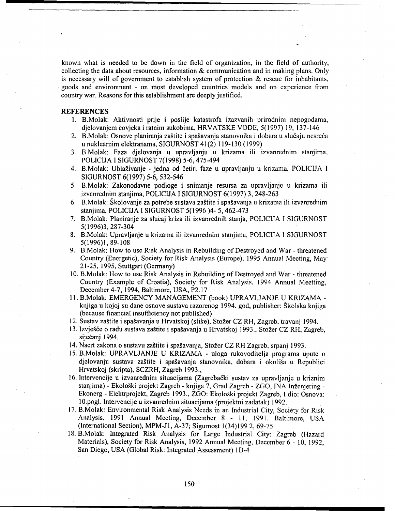known what is needed to **be** down in the field of organization, in the field of authority, collecting the data about resources, information & communication and in making plans. Only is necessary will of government to establish system of protection **&** rescue for inhabitants, goods and environment **-** on most developed countries models and on experience from country war. Reasons for this establishment are deeply justified.

## **REFERENCES**

- **1.** B.Molak: Aktivnosti prije i poslije katastrofa izazvanih prirodnim nepogodama, djelovanjemr 6ovjeka i ratnim sukobima, HRVATSKE **VODE,** *5(1997)* **19, 137-146**
- 2. B.Molak: Osnove planiranja zaštite i spašavanja stanovnika i dobara u slučaju nesreća u nukldarnim elektranama, **SIGURNOST** 41(2) **119-130 (1999)**
- **3.** B.Molak: Faza djelovanja u upravljanju u krizama iii izvanrednim stanjinia, **POLICLJA I SIGURNOST 7(1998)** *5-6, 475-494*
- 4. B.Molak: Ubla~ivanje **-** jedna od 6etiri faze u upravljanju u krizama, **POLICIJA I SIGURNOST 6(1997)** *5-6, 532-546*
- 5. B. Molak: Zakonodavne podloge i snimanie resursa za upravljanie u krizama ili izvanrednim stanjima, **POLICIJA I SIGURNOST 6(1997) 3, 248-263**
- 6. B.Molak: Školovanje za potrebe sustava zaštite i spašavanja u krizama ili izvanrednim stanjima, **POLICIJA I SIGURNOST 5(1996** )4- **5,** 462-473
- **7.** B.Molak: Planiranje za slu~aJ kriza ili izvanrcdnih stanja, **POLICIJA** I **SIGURNOST 5(1996)3, 287-304**
- **8.** B.Molak: Upravljanje u krizarna ili izvanrednim stanjima, **POLICIJA I SIGURNOST 5(1996)1, 89-108**
- **9.** B.Molak: How to use Risk Analysis in Rebuilding of Destroyed and War **-** threatened Country (Energetic), Society for Risk Analysis (Europe), **1995** Annual Meeting, May-21-25, 1995, Stuttgart (Germany)
- **10.** B.Molak: I ow to use Risk Analysis in Rebuilding of Destroyed and War **-** threatened Country (Example of Croatia), Society for Risk Analysis, 1994 Annual Meetting, December 4-7, 1994, Baltimore, **USA, P2.17**
- **11.** B.Molak: EMERGENCY **MANAGEMENT** (book) **UPRAVLJANJE U** KRIZAMA  knjiga u **kojoj** su dane osnove sustava razorenog 1994. god, publisher: ýkolska knjiga (because financial insufficiency not published)
- 12. Sustav zaštite i spašavanja u Hrvatskoj (slike), Stožer CZ RH, Zagreb, travanj 1994.
- **13.** 1zvjes'e o radu sustava za~tite i spagavanja u Hr-vatskoj **1993.,** Stoker CZ RI-I, Zagreb, siječanj 1994.
- 14. Nacrt zakona o sustavu zaštite i spašavanja, Stožer CZ RH Zagreb, srpanj 1993.
- **15.** B.Molak: **UPRAVLJANJE U** KRIZAMA **-** uloga rukovoditelja programa upute o djelovanju sustava zaštite i spašavanja stanovnika, dobara i okoliša u Republici Hrvatskoj (skripta), SCZRI-, Zagreb **1993.,**
- 16. Intervencije u izvanrednim situacijama (Zagrebački sustav za upravljanje u kriznim  $\alpha$ stanjima) **-** Ekološki projekt Zagreb **-** knjiga 7, Grad Zagreb - ZGO, INA Inženjering **-**Ekonerg **-** Elektrprojekt, Zagreb **1993.,** ZOO: Ekolo~ki projekt Zagreb, **I** dio: Osnova: **I** 0.pogl. Intervencije u izvanrednim situacijama (projektni zadatak) **1992.**
- **17.** B.Molak: Environmental Risk Analysis Needs in an Industrial City, Society for Risk Analysis, **1991** Annual Meeting, December **8 - 11, 1991,** Baltimore., **USA** (International Section), **MPM-JI, A-37;** Sigurnost ](34)199 2, **69-75**
- **18.** B.Molak: Integrated Risk Analysis for Large Industrial City: Zagreb (Hazard Materials), Society for Risk Analysis, **1992** Annual Meeting, December **6 - 10, 1992,** San Diego, **USA** (Global Risk: Integrated Assessment) **I** D-4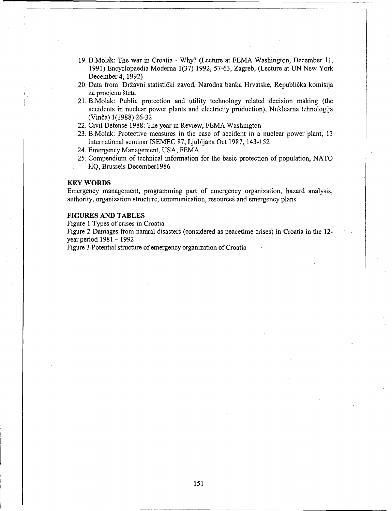- 19. B.Molik: The war in Croatia Why? (Lecture at FEMA Washington, December 11, 1991) Encyclopaedia Moderna 1(37) 1992, 57-63, Zagreb, (Lecture at UN New York December 4, 1992)
- 20. Data from: Državni statistički zavod, Narodna banka Hrvatske, Republička komisija za procjenu šteta
- 21. B.Molak: Public protection and utility technology related decision making (the accidents in nuclear power plants and electricity production), Nuklearna tehnologija (Vinča) 1(1988) 26-32
- 22. Civil Defense 1988: The year in Review, FEMA Washington
- 23. B.Molak: Protective measures in the case of accident in a nuclear power plant, 13 international seminar ISEMEC 87, Ljubljana Oct 1987, 143-152
- 24. Emergency Management, USA, FEMA
- 25. Compendium of technical information for the basic protection of population, NATO HQ, Brussels December1986

#### KEY WORDS

Emergency management, programming part of emergency organization, hazard analysis, authority, organization structure, communication, resources and emergency plans

#### **FIGURES AND TABLES**

Figure **1** Types of crises in Croatia

Figure 2 Damages from natural disasters (considered as peacetime crises) in Croatia in the 12 year period 1981 - 1992

Figure 3 Potential structure of emergency organization of Croatia